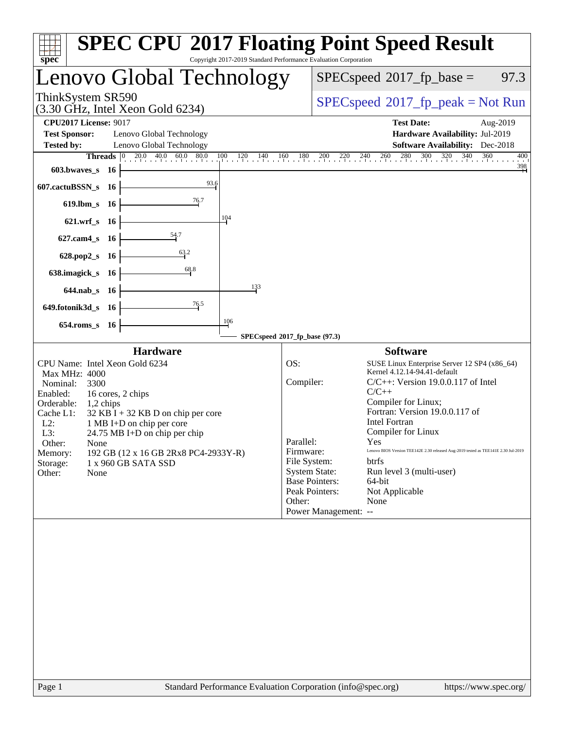| Copyright 2017-2019 Standard Performance Evaluation Corporation<br>spec®                                                                                                                                                                                                                                                                                                                                         | <b>SPEC CPU®2017 Floating Point Speed Result</b>                                                                                                                                                                                                                                                                                                                                                                                                                                                                                                                                                    |
|------------------------------------------------------------------------------------------------------------------------------------------------------------------------------------------------------------------------------------------------------------------------------------------------------------------------------------------------------------------------------------------------------------------|-----------------------------------------------------------------------------------------------------------------------------------------------------------------------------------------------------------------------------------------------------------------------------------------------------------------------------------------------------------------------------------------------------------------------------------------------------------------------------------------------------------------------------------------------------------------------------------------------------|
| Lenovo Global Technology                                                                                                                                                                                                                                                                                                                                                                                         | $SPEC speed^{\circ}2017$ _fp_base =<br>97.3                                                                                                                                                                                                                                                                                                                                                                                                                                                                                                                                                         |
| ThinkSystem SR590<br>$(3.30 \text{ GHz}, \text{Intel Xeon Gold } 6234)$                                                                                                                                                                                                                                                                                                                                          | $SPEC speed^{\circ}2017\_fp\_peak = Not Run$                                                                                                                                                                                                                                                                                                                                                                                                                                                                                                                                                        |
| <b>CPU2017 License: 9017</b><br><b>Test Sponsor:</b><br>Lenovo Global Technology<br><b>Tested by:</b><br>Lenovo Global Technology                                                                                                                                                                                                                                                                                | <b>Test Date:</b><br>Aug-2019<br>Hardware Availability: Jul-2019<br><b>Software Availability:</b> Dec-2018                                                                                                                                                                                                                                                                                                                                                                                                                                                                                          |
| 603.bwaves_s 16<br>93.6                                                                                                                                                                                                                                                                                                                                                                                          | <b>Threads</b> $\begin{bmatrix} 0 & 20.0 & 40.0 & 60.0 & 80.0 & 100 & 120 & 140 & 160 & 180 & 200 & 220 & 240 & 260 & 280 & 300 & 320 & 340 & 360 \end{bmatrix}$<br>400<br>$\frac{398}{4}$                                                                                                                                                                                                                                                                                                                                                                                                          |
| 607.cactuBSSN_s 16<br>619.lbm_s 16<br>104                                                                                                                                                                                                                                                                                                                                                                        |                                                                                                                                                                                                                                                                                                                                                                                                                                                                                                                                                                                                     |
| 621.wrf_s 16<br>$\frac{54.7}{4}$<br>$627.cam4_s$<br>- 16<br>$\frac{63.2}{2}$                                                                                                                                                                                                                                                                                                                                     |                                                                                                                                                                                                                                                                                                                                                                                                                                                                                                                                                                                                     |
| 628.pop2_s 16<br>68.8<br>638.imagick_s 16<br>133<br>644.nab_s 16                                                                                                                                                                                                                                                                                                                                                 |                                                                                                                                                                                                                                                                                                                                                                                                                                                                                                                                                                                                     |
| 76.5<br>649.fotonik3d_s 16<br>106<br>654.roms_s 16                                                                                                                                                                                                                                                                                                                                                               |                                                                                                                                                                                                                                                                                                                                                                                                                                                                                                                                                                                                     |
|                                                                                                                                                                                                                                                                                                                                                                                                                  | SPECspeed®2017_fp_base (97.3)                                                                                                                                                                                                                                                                                                                                                                                                                                                                                                                                                                       |
| <b>Hardware</b><br>CPU Name: Intel Xeon Gold 6234<br>Max MHz: 4000<br>Nominal:<br>3300<br>Enabled:<br>16 cores, 2 chips<br>Orderable:<br>1,2 chips<br>Cache L1:<br>$32$ KB I + 32 KB D on chip per core<br>$L2$ :<br>1 MB I+D on chip per core<br>L3:<br>24.75 MB I+D on chip per chip<br>Other:<br>None<br>192 GB (12 x 16 GB 2Rx8 PC4-2933Y-R)<br>Memory:<br>Storage:<br>1 x 960 GB SATA SSD<br>Other:<br>None | <b>Software</b><br>OS:<br>SUSE Linux Enterprise Server 12 SP4 (x86_64)<br>Kernel 4.12.14-94.41-default<br>Compiler:<br>$C/C++$ : Version 19.0.0.117 of Intel<br>$C/C++$<br>Compiler for Linux;<br>Fortran: Version 19.0.0.117 of<br><b>Intel Fortran</b><br>Compiler for Linux<br>Parallel:<br>Yes<br>Firmware:<br>Lenovo BIOS Version TEE142E 2.30 released Aug-2019 tested as TEE141E 2.30 Jul-2019<br>File System:<br>btrfs<br><b>System State:</b><br>Run level 3 (multi-user)<br><b>Base Pointers:</b><br>64-bit<br>Not Applicable<br>Peak Pointers:<br>None<br>Other:<br>Power Management: -- |
|                                                                                                                                                                                                                                                                                                                                                                                                                  |                                                                                                                                                                                                                                                                                                                                                                                                                                                                                                                                                                                                     |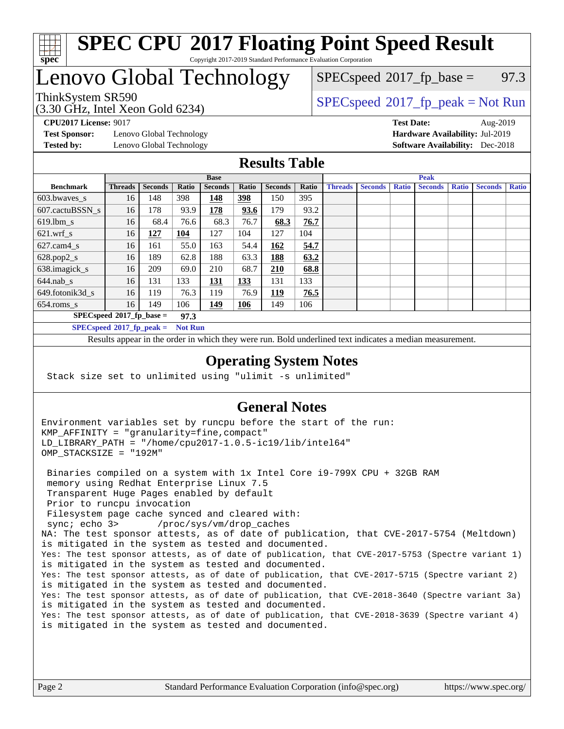

#### **[SPEC CPU](http://www.spec.org/auto/cpu2017/Docs/result-fields.html#SPECCPU2017FloatingPointSpeedResult)[2017 Floating Point Speed Result](http://www.spec.org/auto/cpu2017/Docs/result-fields.html#SPECCPU2017FloatingPointSpeedResult)** Copyright 2017-2019 Standard Performance Evaluation Corporation

# Lenovo Global Technology

(3.30 GHz, Intel Xeon Gold 6234)

 $SPECspeed^{\circ}2017\_fp\_base = 97.3$  $SPECspeed^{\circ}2017\_fp\_base = 97.3$ 

## ThinkSystem SR590<br>  $SPECspeed^{\circ}2017<sub>fp</sub> peak = Not Run$  $SPECspeed^{\circ}2017<sub>fp</sub> peak = Not Run$

**[Test Sponsor:](http://www.spec.org/auto/cpu2017/Docs/result-fields.html#TestSponsor)** Lenovo Global Technology **[Hardware Availability:](http://www.spec.org/auto/cpu2017/Docs/result-fields.html#HardwareAvailability)** Jul-2019 **[Tested by:](http://www.spec.org/auto/cpu2017/Docs/result-fields.html#Testedby)** Lenovo Global Technology **[Software Availability:](http://www.spec.org/auto/cpu2017/Docs/result-fields.html#SoftwareAvailability)** Dec-2018

**[CPU2017 License:](http://www.spec.org/auto/cpu2017/Docs/result-fields.html#CPU2017License)** 9017 **[Test Date:](http://www.spec.org/auto/cpu2017/Docs/result-fields.html#TestDate)** Aug-2019

### **[Results Table](http://www.spec.org/auto/cpu2017/Docs/result-fields.html#ResultsTable)**

|                                     | <b>Base</b>    |                |                |                |            | <b>Peak</b>    |       |                |                |              |                |              |                |              |
|-------------------------------------|----------------|----------------|----------------|----------------|------------|----------------|-------|----------------|----------------|--------------|----------------|--------------|----------------|--------------|
| <b>Benchmark</b>                    | <b>Threads</b> | <b>Seconds</b> | Ratio          | <b>Seconds</b> | Ratio      | <b>Seconds</b> | Ratio | <b>Threads</b> | <b>Seconds</b> | <b>Ratio</b> | <b>Seconds</b> | <b>Ratio</b> | <b>Seconds</b> | <b>Ratio</b> |
| 603.bwayes s                        | 16             | 148            | 398            | 148            | 398        | 150            | 395   |                |                |              |                |              |                |              |
| 607.cactuBSSN s                     | 16             | 178            | 93.9           | 178            | 93.6       | 179            | 93.2  |                |                |              |                |              |                |              |
| $619.$ lbm_s                        | 16             | 68.4           | 76.6           | 68.3           | 76.7       | 68.3           | 76.7  |                |                |              |                |              |                |              |
| $621.wrf$ s                         | 16             | 127            | 104            | 127            | 104        | 127            | 104   |                |                |              |                |              |                |              |
| $627$ .cam4 s                       | 16             | 161            | 55.0           | 163            | 54.4       | 162            | 54.7  |                |                |              |                |              |                |              |
| $628.pop2_s$                        | 16             | 189            | 62.8           | 188            | 63.3       | 188            | 63.2  |                |                |              |                |              |                |              |
| 638.imagick_s                       | 16             | 209            | 69.0           | 210            | 68.7       | <b>210</b>     | 68.8  |                |                |              |                |              |                |              |
| $644$ .nab s                        | 16             | 131            | 133            | <u> 131</u>    | <u>133</u> | 131            | 133   |                |                |              |                |              |                |              |
| 649.fotonik3d s                     | 16             | 119            | 76.3           | 119            | 76.9       | <u>119</u>     | 76.5  |                |                |              |                |              |                |              |
| $654$ .roms s                       | 16             | 149            | 106            | 149            | <b>106</b> | 149            | 106   |                |                |              |                |              |                |              |
| $SPECspeed*2017_fp\_base =$<br>97.3 |                |                |                |                |            |                |       |                |                |              |                |              |                |              |
| $SPECspeed*2017_fp\_peak =$         |                |                | <b>Not Run</b> |                |            |                |       |                |                |              |                |              |                |              |

Results appear in the [order in which they were run.](http://www.spec.org/auto/cpu2017/Docs/result-fields.html#RunOrder) Bold underlined text [indicates a median measurement](http://www.spec.org/auto/cpu2017/Docs/result-fields.html#Median).

#### **[Operating System Notes](http://www.spec.org/auto/cpu2017/Docs/result-fields.html#OperatingSystemNotes)**

Stack size set to unlimited using "ulimit -s unlimited"

#### **[General Notes](http://www.spec.org/auto/cpu2017/Docs/result-fields.html#GeneralNotes)**

Environment variables set by runcpu before the start of the run: KMP\_AFFINITY = "granularity=fine,compact" LD\_LIBRARY\_PATH = "/home/cpu2017-1.0.5-ic19/lib/intel64" OMP\_STACKSIZE = "192M"

 Binaries compiled on a system with 1x Intel Core i9-799X CPU + 32GB RAM memory using Redhat Enterprise Linux 7.5 Transparent Huge Pages enabled by default Prior to runcpu invocation Filesystem page cache synced and cleared with: sync; echo 3> /proc/sys/vm/drop\_caches NA: The test sponsor attests, as of date of publication, that CVE-2017-5754 (Meltdown) is mitigated in the system as tested and documented. Yes: The test sponsor attests, as of date of publication, that CVE-2017-5753 (Spectre variant 1) is mitigated in the system as tested and documented. Yes: The test sponsor attests, as of date of publication, that CVE-2017-5715 (Spectre variant 2) is mitigated in the system as tested and documented. Yes: The test sponsor attests, as of date of publication, that CVE-2018-3640 (Spectre variant 3a) is mitigated in the system as tested and documented. Yes: The test sponsor attests, as of date of publication, that CVE-2018-3639 (Spectre variant 4) is mitigated in the system as tested and documented.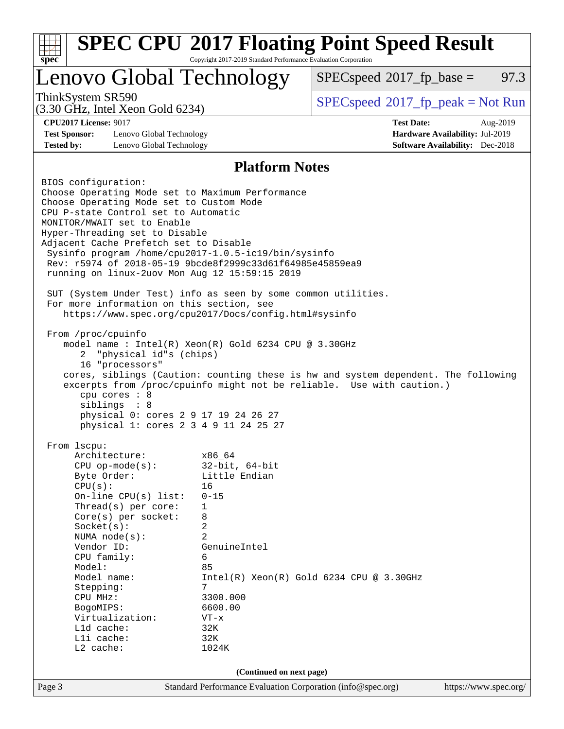| <b>SPEC CPU®2017 Floating Point Speed Result</b><br>Copyright 2017-2019 Standard Performance Evaluation Corporation<br>spec <sup>®</sup>                                                                                                                                                                                                                                                                                                                                                                                                                                                                                                                                                                                                                                                                                                                                                                                                                                                                                                |                                                                                                                                                                                 |                                              |  |          |  |  |
|-----------------------------------------------------------------------------------------------------------------------------------------------------------------------------------------------------------------------------------------------------------------------------------------------------------------------------------------------------------------------------------------------------------------------------------------------------------------------------------------------------------------------------------------------------------------------------------------------------------------------------------------------------------------------------------------------------------------------------------------------------------------------------------------------------------------------------------------------------------------------------------------------------------------------------------------------------------------------------------------------------------------------------------------|---------------------------------------------------------------------------------------------------------------------------------------------------------------------------------|----------------------------------------------|--|----------|--|--|
| Lenovo Global Technology                                                                                                                                                                                                                                                                                                                                                                                                                                                                                                                                                                                                                                                                                                                                                                                                                                                                                                                                                                                                                |                                                                                                                                                                                 | $SPEC speed^{\circ}2017\_fp\_base =$         |  | 97.3     |  |  |
| ThinkSystem SR590<br>$(3.30 \text{ GHz}, \text{Intel Xeon Gold } 6234)$                                                                                                                                                                                                                                                                                                                                                                                                                                                                                                                                                                                                                                                                                                                                                                                                                                                                                                                                                                 |                                                                                                                                                                                 | $SPEC speed^{\circ}2017\_fp\_peak = Not Run$ |  |          |  |  |
| <b>CPU2017 License: 9017</b>                                                                                                                                                                                                                                                                                                                                                                                                                                                                                                                                                                                                                                                                                                                                                                                                                                                                                                                                                                                                            |                                                                                                                                                                                 | <b>Test Date:</b>                            |  | Aug-2019 |  |  |
| <b>Test Sponsor:</b><br>Lenovo Global Technology<br>Hardware Availability: Jul-2019                                                                                                                                                                                                                                                                                                                                                                                                                                                                                                                                                                                                                                                                                                                                                                                                                                                                                                                                                     |                                                                                                                                                                                 |                                              |  |          |  |  |
| <b>Tested by:</b><br>Lenovo Global Technology<br><b>Software Availability:</b> Dec-2018                                                                                                                                                                                                                                                                                                                                                                                                                                                                                                                                                                                                                                                                                                                                                                                                                                                                                                                                                 |                                                                                                                                                                                 |                                              |  |          |  |  |
| <b>Platform Notes</b>                                                                                                                                                                                                                                                                                                                                                                                                                                                                                                                                                                                                                                                                                                                                                                                                                                                                                                                                                                                                                   |                                                                                                                                                                                 |                                              |  |          |  |  |
| BIOS configuration:<br>Choose Operating Mode set to Maximum Performance<br>Choose Operating Mode set to Custom Mode<br>CPU P-state Control set to Automatic<br>MONITOR/MWAIT set to Enable<br>Hyper-Threading set to Disable<br>Adjacent Cache Prefetch set to Disable<br>Sysinfo program /home/cpu2017-1.0.5-ic19/bin/sysinfo<br>Rev: r5974 of 2018-05-19 9bcde8f2999c33d61f64985e45859ea9<br>running on linux-2uov Mon Aug 12 15:59:15 2019<br>SUT (System Under Test) info as seen by some common utilities.<br>For more information on this section, see<br>https://www.spec.org/cpu2017/Docs/config.html#sysinfo<br>From /proc/cpuinfo<br>model name : Intel(R) Xeon(R) Gold 6234 CPU @ 3.30GHz<br>"physical id"s (chips)<br>2<br>16 "processors"<br>cores, siblings (Caution: counting these is hw and system dependent. The following<br>excerpts from /proc/cpuinfo might not be reliable. Use with caution.)<br>cpu cores : 8<br>siblings : 8<br>physical 0: cores 2 9 17 19 24 26 27<br>physical 1: cores 2 3 4 9 11 24 25 27 |                                                                                                                                                                                 |                                              |  |          |  |  |
| From lscpu:<br>Architecture:<br>$CPU$ op-mode( $s$ ):<br>Byte Order:<br>CPU(s):<br>On-line $CPU(s)$ list:<br>Thread(s) per core:<br>Core(s) per socket:<br>Socket(s):<br>NUMA $node(s)$ :<br>Vendor ID:<br>CPU family:<br>Model:<br>Model name:<br>Stepping:<br>CPU MHz:<br>BogoMIPS:<br>Virtualization:<br>Lld cache:<br>Lli cache:<br>L2 cache:                                                                                                                                                                                                                                                                                                                                                                                                                                                                                                                                                                                                                                                                                       | x86 64<br>$32$ -bit, $64$ -bit<br>Little Endian<br>16<br>$0 - 15$<br>1<br>8<br>2<br>2<br>GenuineIntel<br>6<br>85<br>7<br>3300.000<br>6600.00<br>$VT - x$<br>32K<br>32K<br>1024K | $Intel(R) Xeon(R) Gold 6234 CPU @ 3.30GHz$   |  |          |  |  |
| (Continued on next page)                                                                                                                                                                                                                                                                                                                                                                                                                                                                                                                                                                                                                                                                                                                                                                                                                                                                                                                                                                                                                |                                                                                                                                                                                 |                                              |  |          |  |  |
|                                                                                                                                                                                                                                                                                                                                                                                                                                                                                                                                                                                                                                                                                                                                                                                                                                                                                                                                                                                                                                         | Standard Performance Evaluation Corporation (info@spec.org)                                                                                                                     |                                              |  |          |  |  |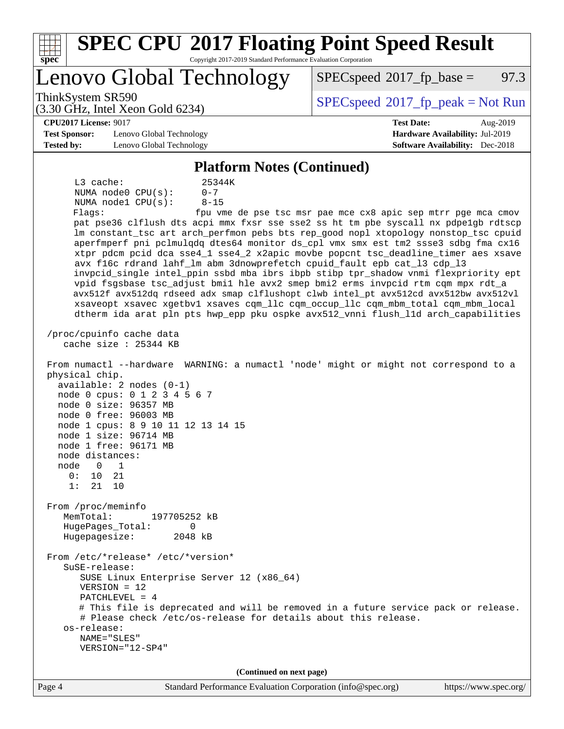| <b>SPEC CPU®2017 Floating Point Speed Result</b><br>Copyright 2017-2019 Standard Performance Evaluation Corporation<br>spec <sup>®</sup>                                                                                                                                                                                                                                                                                                                                                       |                                                               |
|------------------------------------------------------------------------------------------------------------------------------------------------------------------------------------------------------------------------------------------------------------------------------------------------------------------------------------------------------------------------------------------------------------------------------------------------------------------------------------------------|---------------------------------------------------------------|
| Lenovo Global Technology                                                                                                                                                                                                                                                                                                                                                                                                                                                                       | 97.3<br>$SPEC speed^{\circ}2017$ fp base =                    |
| ThinkSystem SR590<br>$(3.30 \text{ GHz}, \text{Intel Xeon Gold } 6234)$                                                                                                                                                                                                                                                                                                                                                                                                                        | $SPEC speed^{\circ}2017\_fp\_peak = Not Run$                  |
| <b>CPU2017 License: 9017</b>                                                                                                                                                                                                                                                                                                                                                                                                                                                                   | <b>Test Date:</b><br>Aug-2019                                 |
| <b>Test Sponsor:</b><br>Lenovo Global Technology                                                                                                                                                                                                                                                                                                                                                                                                                                               | Hardware Availability: Jul-2019                               |
| <b>Tested by:</b><br>Lenovo Global Technology                                                                                                                                                                                                                                                                                                                                                                                                                                                  | <b>Software Availability:</b> Dec-2018                        |
| <b>Platform Notes (Continued)</b>                                                                                                                                                                                                                                                                                                                                                                                                                                                              |                                                               |
|                                                                                                                                                                                                                                                                                                                                                                                                                                                                                                |                                                               |
| $L3$ cache:<br>25344K<br>NUMA node0 CPU(s):<br>$0 - 7$                                                                                                                                                                                                                                                                                                                                                                                                                                         |                                                               |
| $8 - 15$<br>NUMA nodel CPU(s):                                                                                                                                                                                                                                                                                                                                                                                                                                                                 |                                                               |
| Flags:                                                                                                                                                                                                                                                                                                                                                                                                                                                                                         | fpu vme de pse tsc msr pae mce cx8 apic sep mtrr pge mca cmov |
| pat pse36 clflush dts acpi mmx fxsr sse sse2 ss ht tm pbe syscall nx pdpelgb rdtscp                                                                                                                                                                                                                                                                                                                                                                                                            |                                                               |
| lm constant_tsc art arch_perfmon pebs bts rep_good nopl xtopology nonstop_tsc cpuid                                                                                                                                                                                                                                                                                                                                                                                                            |                                                               |
| aperfmperf pni pclmulqdq dtes64 monitor ds_cpl vmx smx est tm2 ssse3 sdbg fma cx16                                                                                                                                                                                                                                                                                                                                                                                                             |                                                               |
| xtpr pdcm pcid dca sse4_1 sse4_2 x2apic movbe popcnt tsc_deadline_timer aes xsave                                                                                                                                                                                                                                                                                                                                                                                                              |                                                               |
| avx f16c rdrand lahf_lm abm 3dnowprefetch cpuid_fault epb cat_13 cdp_13                                                                                                                                                                                                                                                                                                                                                                                                                        |                                                               |
| invpcid_single intel_ppin ssbd mba ibrs ibpb stibp tpr_shadow vnmi flexpriority ept<br>vpid fsgsbase tsc_adjust bmil hle avx2 smep bmi2 erms invpcid rtm cqm mpx rdt_a                                                                                                                                                                                                                                                                                                                         |                                                               |
| avx512f avx512dq rdseed adx smap clflushopt clwb intel_pt avx512cd avx512bw avx512vl                                                                                                                                                                                                                                                                                                                                                                                                           |                                                               |
| xsaveopt xsavec xgetbvl xsaves cqm_llc cqm_occup_llc cqm_mbm_total cqm_mbm_local                                                                                                                                                                                                                                                                                                                                                                                                               |                                                               |
| dtherm ida arat pln pts hwp_epp pku ospke avx512_vnni flush_lld arch_capabilities                                                                                                                                                                                                                                                                                                                                                                                                              |                                                               |
| cache size $: 25344$ KB<br>From numactl --hardware WARNING: a numactl 'node' might or might not correspond to a<br>physical chip.<br>$available: 2 nodes (0-1)$<br>node 0 cpus: 0 1 2 3 4 5 6 7<br>node 0 size: 96357 MB<br>node 0 free: 96003 MB<br>node 1 cpus: 8 9 10 11 12 13 14 15<br>node 1 size: 96714 MB<br>node 1 free: 96171 MB<br>node distances:<br>node<br>0<br>1<br>0:<br>10<br>21<br>1:<br>21<br>10<br>From /proc/meminfo<br>MemTotal:<br>197705252 kB<br>HugePages_Total:<br>0 |                                                               |
| Hugepagesize:<br>2048 kB                                                                                                                                                                                                                                                                                                                                                                                                                                                                       |                                                               |
| From /etc/*release* /etc/*version*<br>$S$ uSE-release:                                                                                                                                                                                                                                                                                                                                                                                                                                         |                                                               |
| SUSE Linux Enterprise Server 12 (x86_64)<br>$VERSION = 12$                                                                                                                                                                                                                                                                                                                                                                                                                                     |                                                               |
| PATCHLEVEL = 4<br># This file is deprecated and will be removed in a future service pack or release.                                                                                                                                                                                                                                                                                                                                                                                           |                                                               |
| # Please check /etc/os-release for details about this release.                                                                                                                                                                                                                                                                                                                                                                                                                                 |                                                               |
| os-release:                                                                                                                                                                                                                                                                                                                                                                                                                                                                                    |                                                               |
| NAME="SLES"                                                                                                                                                                                                                                                                                                                                                                                                                                                                                    |                                                               |
| VERSION="12-SP4"                                                                                                                                                                                                                                                                                                                                                                                                                                                                               |                                                               |
|                                                                                                                                                                                                                                                                                                                                                                                                                                                                                                |                                                               |
| (Continued on next page)                                                                                                                                                                                                                                                                                                                                                                                                                                                                       |                                                               |
| Page 4<br>Standard Performance Evaluation Corporation (info@spec.org)                                                                                                                                                                                                                                                                                                                                                                                                                          | https://www.spec.org/                                         |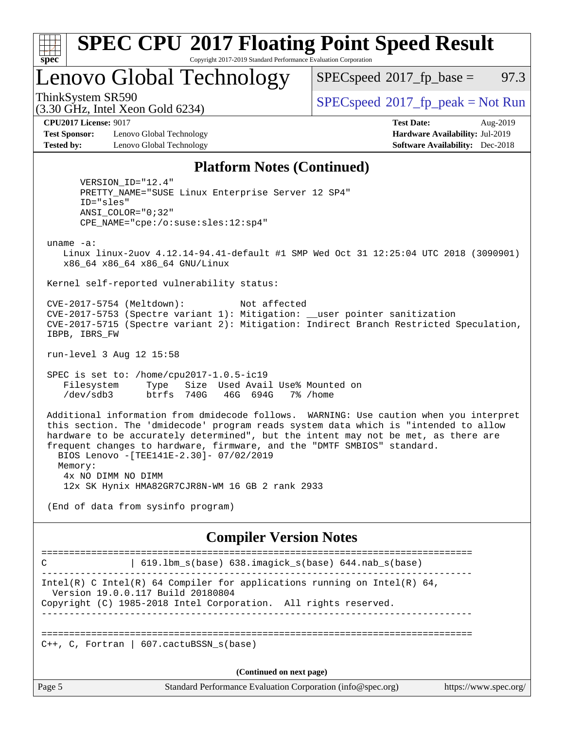| x<br>t.<br>L |  |  |  |  |  |
|--------------|--|--|--|--|--|

#### **[SPEC CPU](http://www.spec.org/auto/cpu2017/Docs/result-fields.html#SPECCPU2017FloatingPointSpeedResult)[2017 Floating Point Speed Result](http://www.spec.org/auto/cpu2017/Docs/result-fields.html#SPECCPU2017FloatingPointSpeedResult)** Copyright 2017-2019 Standard Performance Evaluation Corporation

Lenovo Global Technology

 $SPECspeed^{\circledcirc}2017_fp\_base = 97.3$  $SPECspeed^{\circledcirc}2017_fp\_base = 97.3$ 

(3.30 GHz, Intel Xeon Gold 6234)

ThinkSystem SR590<br>  $SPECspeed*2017_fp\_peak = Not Run$  $SPECspeed*2017_fp\_peak = Not Run$ 

**[Test Sponsor:](http://www.spec.org/auto/cpu2017/Docs/result-fields.html#TestSponsor)** Lenovo Global Technology **[Hardware Availability:](http://www.spec.org/auto/cpu2017/Docs/result-fields.html#HardwareAvailability)** Jul-2019 **[Tested by:](http://www.spec.org/auto/cpu2017/Docs/result-fields.html#Testedby)** Lenovo Global Technology **[Software Availability:](http://www.spec.org/auto/cpu2017/Docs/result-fields.html#SoftwareAvailability)** Dec-2018

**[CPU2017 License:](http://www.spec.org/auto/cpu2017/Docs/result-fields.html#CPU2017License)** 9017 **[Test Date:](http://www.spec.org/auto/cpu2017/Docs/result-fields.html#TestDate)** Aug-2019

#### **[Platform Notes \(Continued\)](http://www.spec.org/auto/cpu2017/Docs/result-fields.html#PlatformNotes)**

 VERSION\_ID="12.4" PRETTY\_NAME="SUSE Linux Enterprise Server 12 SP4" ID="sles" ANSI\_COLOR="0;32" CPE\_NAME="cpe:/o:suse:sles:12:sp4"

uname -a:

 Linux linux-2uov 4.12.14-94.41-default #1 SMP Wed Oct 31 12:25:04 UTC 2018 (3090901) x86\_64 x86\_64 x86\_64 GNU/Linux

Kernel self-reported vulnerability status:

 CVE-2017-5754 (Meltdown): Not affected CVE-2017-5753 (Spectre variant 1): Mitigation: \_\_user pointer sanitization CVE-2017-5715 (Spectre variant 2): Mitigation: Indirect Branch Restricted Speculation, IBPB, IBRS\_FW

run-level 3 Aug 12 15:58

 SPEC is set to: /home/cpu2017-1.0.5-ic19 Filesystem Type Size Used Avail Use% Mounted on /dev/sdb3 btrfs 740G 46G 694G 7% /home

 Additional information from dmidecode follows. WARNING: Use caution when you interpret this section. The 'dmidecode' program reads system data which is "intended to allow hardware to be accurately determined", but the intent may not be met, as there are frequent changes to hardware, firmware, and the "DMTF SMBIOS" standard. BIOS Lenovo -[TEE141E-2.30]- 07/02/2019 Memory: 4x NO DIMM NO DIMM 12x SK Hynix HMA82GR7CJR8N-WM 16 GB 2 rank 2933

(End of data from sysinfo program)

#### **[Compiler Version Notes](http://www.spec.org/auto/cpu2017/Docs/result-fields.html#CompilerVersionNotes)**

============================================================================== C | 619.lbm\_s(base) 638.imagick\_s(base) 644.nab\_s(base) ------------------------------------------------------------------------------ Intel(R) C Intel(R) 64 Compiler for applications running on Intel(R)  $64$ , Version 19.0.0.117 Build 20180804 Copyright (C) 1985-2018 Intel Corporation. All rights reserved. ------------------------------------------------------------------------------ ==============================================================================  $C_{++}$ , C, Fortran | 607.cactuBSSN s(base) **(Continued on next page)**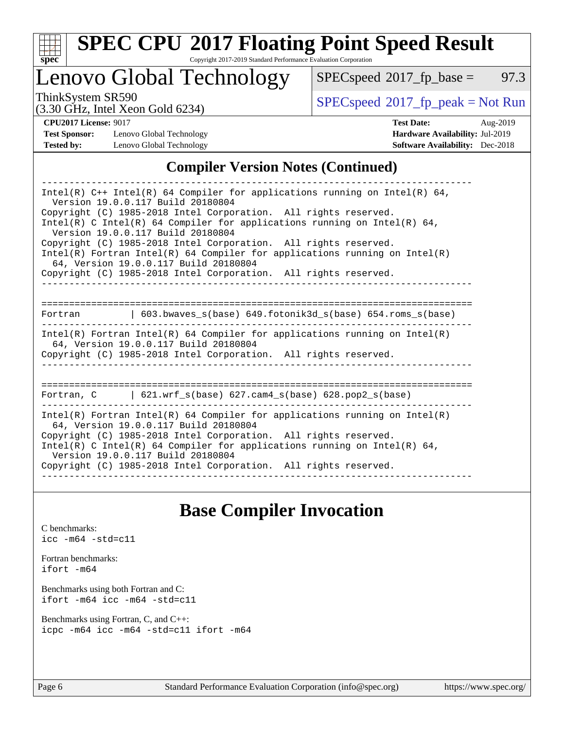

# **[SPEC CPU](http://www.spec.org/auto/cpu2017/Docs/result-fields.html#SPECCPU2017FloatingPointSpeedResult)[2017 Floating Point Speed Result](http://www.spec.org/auto/cpu2017/Docs/result-fields.html#SPECCPU2017FloatingPointSpeedResult)**

Copyright 2017-2019 Standard Performance Evaluation Corporation

Lenovo Global Technology

 $SPECspeed*2017_fp\_base = 97.3$  $SPECspeed*2017_fp\_base = 97.3$ 

(3.30 GHz, Intel Xeon Gold 6234)

ThinkSystem SR590<br>  $(3.30 \text{ GHz}_{\text{1.1}})$  [SPECspeed](http://www.spec.org/auto/cpu2017/Docs/result-fields.html#SPECspeed2017fppeak)®[2017\\_fp\\_peak = N](http://www.spec.org/auto/cpu2017/Docs/result-fields.html#SPECspeed2017fppeak)ot Run

**[Test Sponsor:](http://www.spec.org/auto/cpu2017/Docs/result-fields.html#TestSponsor)** Lenovo Global Technology **[Hardware Availability:](http://www.spec.org/auto/cpu2017/Docs/result-fields.html#HardwareAvailability)** Jul-2019 **[Tested by:](http://www.spec.org/auto/cpu2017/Docs/result-fields.html#Testedby)** Lenovo Global Technology **[Software Availability:](http://www.spec.org/auto/cpu2017/Docs/result-fields.html#SoftwareAvailability)** Dec-2018

**[CPU2017 License:](http://www.spec.org/auto/cpu2017/Docs/result-fields.html#CPU2017License)** 9017 **[Test Date:](http://www.spec.org/auto/cpu2017/Docs/result-fields.html#TestDate)** Aug-2019

### **[Compiler Version Notes \(Continued\)](http://www.spec.org/auto/cpu2017/Docs/result-fields.html#CompilerVersionNotes)**

# **[Base Compiler Invocation](http://www.spec.org/auto/cpu2017/Docs/result-fields.html#BaseCompilerInvocation)**

[C benchmarks](http://www.spec.org/auto/cpu2017/Docs/result-fields.html#Cbenchmarks): [icc -m64 -std=c11](http://www.spec.org/cpu2017/results/res2019q3/cpu2017-20190819-16970.flags.html#user_CCbase_intel_icc_64bit_c11_33ee0cdaae7deeeab2a9725423ba97205ce30f63b9926c2519791662299b76a0318f32ddfffdc46587804de3178b4f9328c46fa7c2b0cd779d7a61945c91cd35)

[Fortran benchmarks](http://www.spec.org/auto/cpu2017/Docs/result-fields.html#Fortranbenchmarks): [ifort -m64](http://www.spec.org/cpu2017/results/res2019q3/cpu2017-20190819-16970.flags.html#user_FCbase_intel_ifort_64bit_24f2bb282fbaeffd6157abe4f878425411749daecae9a33200eee2bee2fe76f3b89351d69a8130dd5949958ce389cf37ff59a95e7a40d588e8d3a57e0c3fd751)

[Benchmarks using both Fortran and C](http://www.spec.org/auto/cpu2017/Docs/result-fields.html#BenchmarksusingbothFortranandC): [ifort -m64](http://www.spec.org/cpu2017/results/res2019q3/cpu2017-20190819-16970.flags.html#user_CC_FCbase_intel_ifort_64bit_24f2bb282fbaeffd6157abe4f878425411749daecae9a33200eee2bee2fe76f3b89351d69a8130dd5949958ce389cf37ff59a95e7a40d588e8d3a57e0c3fd751) [icc -m64 -std=c11](http://www.spec.org/cpu2017/results/res2019q3/cpu2017-20190819-16970.flags.html#user_CC_FCbase_intel_icc_64bit_c11_33ee0cdaae7deeeab2a9725423ba97205ce30f63b9926c2519791662299b76a0318f32ddfffdc46587804de3178b4f9328c46fa7c2b0cd779d7a61945c91cd35)

[Benchmarks using Fortran, C, and C++:](http://www.spec.org/auto/cpu2017/Docs/result-fields.html#BenchmarksusingFortranCandCXX) [icpc -m64](http://www.spec.org/cpu2017/results/res2019q3/cpu2017-20190819-16970.flags.html#user_CC_CXX_FCbase_intel_icpc_64bit_4ecb2543ae3f1412ef961e0650ca070fec7b7afdcd6ed48761b84423119d1bf6bdf5cad15b44d48e7256388bc77273b966e5eb805aefd121eb22e9299b2ec9d9) [icc -m64 -std=c11](http://www.spec.org/cpu2017/results/res2019q3/cpu2017-20190819-16970.flags.html#user_CC_CXX_FCbase_intel_icc_64bit_c11_33ee0cdaae7deeeab2a9725423ba97205ce30f63b9926c2519791662299b76a0318f32ddfffdc46587804de3178b4f9328c46fa7c2b0cd779d7a61945c91cd35) [ifort -m64](http://www.spec.org/cpu2017/results/res2019q3/cpu2017-20190819-16970.flags.html#user_CC_CXX_FCbase_intel_ifort_64bit_24f2bb282fbaeffd6157abe4f878425411749daecae9a33200eee2bee2fe76f3b89351d69a8130dd5949958ce389cf37ff59a95e7a40d588e8d3a57e0c3fd751)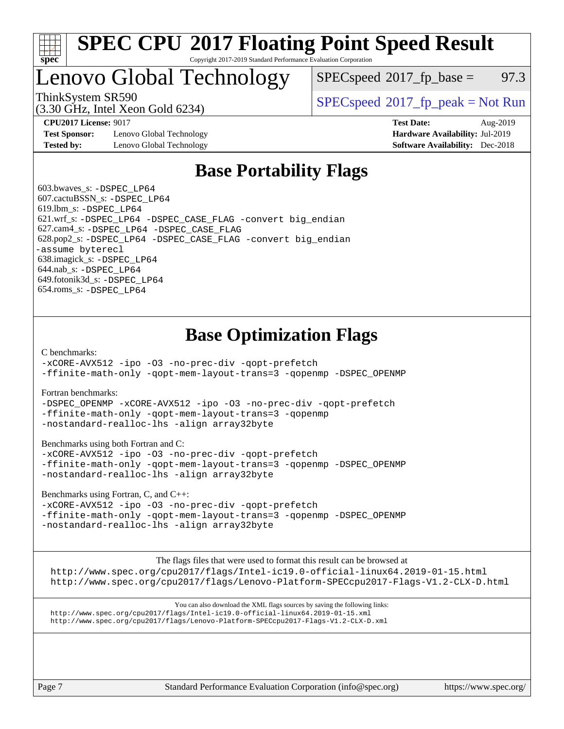

#### **[SPEC CPU](http://www.spec.org/auto/cpu2017/Docs/result-fields.html#SPECCPU2017FloatingPointSpeedResult)[2017 Floating Point Speed Result](http://www.spec.org/auto/cpu2017/Docs/result-fields.html#SPECCPU2017FloatingPointSpeedResult)** Copyright 2017-2019 Standard Performance Evaluation Corporation

# Lenovo Global Technology

 $SPECspeed^{\circ}2017\_fp\_base = 97.3$  $SPECspeed^{\circ}2017\_fp\_base = 97.3$ 

(3.30 GHz, Intel Xeon Gold 6234)

ThinkSystem SR590<br>  $SPECspeed^{\circ}2017<sub>fp</sub> peak = Not Run$  $SPECspeed^{\circ}2017<sub>fp</sub> peak = Not Run$ 

**[Test Sponsor:](http://www.spec.org/auto/cpu2017/Docs/result-fields.html#TestSponsor)** Lenovo Global Technology **[Hardware Availability:](http://www.spec.org/auto/cpu2017/Docs/result-fields.html#HardwareAvailability)** Jul-2019 **[Tested by:](http://www.spec.org/auto/cpu2017/Docs/result-fields.html#Testedby)** Lenovo Global Technology **[Software Availability:](http://www.spec.org/auto/cpu2017/Docs/result-fields.html#SoftwareAvailability)** Dec-2018

**[CPU2017 License:](http://www.spec.org/auto/cpu2017/Docs/result-fields.html#CPU2017License)** 9017 **[Test Date:](http://www.spec.org/auto/cpu2017/Docs/result-fields.html#TestDate)** Aug-2019

# **[Base Portability Flags](http://www.spec.org/auto/cpu2017/Docs/result-fields.html#BasePortabilityFlags)**

 603.bwaves\_s: [-DSPEC\\_LP64](http://www.spec.org/cpu2017/results/res2019q3/cpu2017-20190819-16970.flags.html#suite_basePORTABILITY603_bwaves_s_DSPEC_LP64) 607.cactuBSSN\_s: [-DSPEC\\_LP64](http://www.spec.org/cpu2017/results/res2019q3/cpu2017-20190819-16970.flags.html#suite_basePORTABILITY607_cactuBSSN_s_DSPEC_LP64) 619.lbm\_s: [-DSPEC\\_LP64](http://www.spec.org/cpu2017/results/res2019q3/cpu2017-20190819-16970.flags.html#suite_basePORTABILITY619_lbm_s_DSPEC_LP64) 621.wrf\_s: [-DSPEC\\_LP64](http://www.spec.org/cpu2017/results/res2019q3/cpu2017-20190819-16970.flags.html#suite_basePORTABILITY621_wrf_s_DSPEC_LP64) [-DSPEC\\_CASE\\_FLAG](http://www.spec.org/cpu2017/results/res2019q3/cpu2017-20190819-16970.flags.html#b621.wrf_s_baseCPORTABILITY_DSPEC_CASE_FLAG) [-convert big\\_endian](http://www.spec.org/cpu2017/results/res2019q3/cpu2017-20190819-16970.flags.html#user_baseFPORTABILITY621_wrf_s_convert_big_endian_c3194028bc08c63ac5d04de18c48ce6d347e4e562e8892b8bdbdc0214820426deb8554edfa529a3fb25a586e65a3d812c835984020483e7e73212c4d31a38223) 627.cam4\_s: [-DSPEC\\_LP64](http://www.spec.org/cpu2017/results/res2019q3/cpu2017-20190819-16970.flags.html#suite_basePORTABILITY627_cam4_s_DSPEC_LP64) [-DSPEC\\_CASE\\_FLAG](http://www.spec.org/cpu2017/results/res2019q3/cpu2017-20190819-16970.flags.html#b627.cam4_s_baseCPORTABILITY_DSPEC_CASE_FLAG) 628.pop2\_s: [-DSPEC\\_LP64](http://www.spec.org/cpu2017/results/res2019q3/cpu2017-20190819-16970.flags.html#suite_basePORTABILITY628_pop2_s_DSPEC_LP64) [-DSPEC\\_CASE\\_FLAG](http://www.spec.org/cpu2017/results/res2019q3/cpu2017-20190819-16970.flags.html#b628.pop2_s_baseCPORTABILITY_DSPEC_CASE_FLAG) [-convert big\\_endian](http://www.spec.org/cpu2017/results/res2019q3/cpu2017-20190819-16970.flags.html#user_baseFPORTABILITY628_pop2_s_convert_big_endian_c3194028bc08c63ac5d04de18c48ce6d347e4e562e8892b8bdbdc0214820426deb8554edfa529a3fb25a586e65a3d812c835984020483e7e73212c4d31a38223) [-assume byterecl](http://www.spec.org/cpu2017/results/res2019q3/cpu2017-20190819-16970.flags.html#user_baseFPORTABILITY628_pop2_s_assume_byterecl_7e47d18b9513cf18525430bbf0f2177aa9bf368bc7a059c09b2c06a34b53bd3447c950d3f8d6c70e3faf3a05c8557d66a5798b567902e8849adc142926523472) 638.imagick\_s: [-DSPEC\\_LP64](http://www.spec.org/cpu2017/results/res2019q3/cpu2017-20190819-16970.flags.html#suite_basePORTABILITY638_imagick_s_DSPEC_LP64) 644.nab\_s: [-DSPEC\\_LP64](http://www.spec.org/cpu2017/results/res2019q3/cpu2017-20190819-16970.flags.html#suite_basePORTABILITY644_nab_s_DSPEC_LP64) 649.fotonik3d\_s: [-DSPEC\\_LP64](http://www.spec.org/cpu2017/results/res2019q3/cpu2017-20190819-16970.flags.html#suite_basePORTABILITY649_fotonik3d_s_DSPEC_LP64) 654.roms\_s: [-DSPEC\\_LP64](http://www.spec.org/cpu2017/results/res2019q3/cpu2017-20190819-16970.flags.html#suite_basePORTABILITY654_roms_s_DSPEC_LP64)

# **[Base Optimization Flags](http://www.spec.org/auto/cpu2017/Docs/result-fields.html#BaseOptimizationFlags)**

[C benchmarks](http://www.spec.org/auto/cpu2017/Docs/result-fields.html#Cbenchmarks):

[-xCORE-AVX512](http://www.spec.org/cpu2017/results/res2019q3/cpu2017-20190819-16970.flags.html#user_CCbase_f-xCORE-AVX512) [-ipo](http://www.spec.org/cpu2017/results/res2019q3/cpu2017-20190819-16970.flags.html#user_CCbase_f-ipo) [-O3](http://www.spec.org/cpu2017/results/res2019q3/cpu2017-20190819-16970.flags.html#user_CCbase_f-O3) [-no-prec-div](http://www.spec.org/cpu2017/results/res2019q3/cpu2017-20190819-16970.flags.html#user_CCbase_f-no-prec-div) [-qopt-prefetch](http://www.spec.org/cpu2017/results/res2019q3/cpu2017-20190819-16970.flags.html#user_CCbase_f-qopt-prefetch) [-ffinite-math-only](http://www.spec.org/cpu2017/results/res2019q3/cpu2017-20190819-16970.flags.html#user_CCbase_f_finite_math_only_cb91587bd2077682c4b38af759c288ed7c732db004271a9512da14a4f8007909a5f1427ecbf1a0fb78ff2a814402c6114ac565ca162485bbcae155b5e4258871) [-qopt-mem-layout-trans=3](http://www.spec.org/cpu2017/results/res2019q3/cpu2017-20190819-16970.flags.html#user_CCbase_f-qopt-mem-layout-trans_de80db37974c74b1f0e20d883f0b675c88c3b01e9d123adea9b28688d64333345fb62bc4a798493513fdb68f60282f9a726aa07f478b2f7113531aecce732043) [-qopenmp](http://www.spec.org/cpu2017/results/res2019q3/cpu2017-20190819-16970.flags.html#user_CCbase_qopenmp_16be0c44f24f464004c6784a7acb94aca937f053568ce72f94b139a11c7c168634a55f6653758ddd83bcf7b8463e8028bb0b48b77bcddc6b78d5d95bb1df2967) [-DSPEC\\_OPENMP](http://www.spec.org/cpu2017/results/res2019q3/cpu2017-20190819-16970.flags.html#suite_CCbase_DSPEC_OPENMP)

[Fortran benchmarks](http://www.spec.org/auto/cpu2017/Docs/result-fields.html#Fortranbenchmarks):

[-DSPEC\\_OPENMP](http://www.spec.org/cpu2017/results/res2019q3/cpu2017-20190819-16970.flags.html#suite_FCbase_DSPEC_OPENMP) [-xCORE-AVX512](http://www.spec.org/cpu2017/results/res2019q3/cpu2017-20190819-16970.flags.html#user_FCbase_f-xCORE-AVX512) [-ipo](http://www.spec.org/cpu2017/results/res2019q3/cpu2017-20190819-16970.flags.html#user_FCbase_f-ipo) [-O3](http://www.spec.org/cpu2017/results/res2019q3/cpu2017-20190819-16970.flags.html#user_FCbase_f-O3) [-no-prec-div](http://www.spec.org/cpu2017/results/res2019q3/cpu2017-20190819-16970.flags.html#user_FCbase_f-no-prec-div) [-qopt-prefetch](http://www.spec.org/cpu2017/results/res2019q3/cpu2017-20190819-16970.flags.html#user_FCbase_f-qopt-prefetch) [-ffinite-math-only](http://www.spec.org/cpu2017/results/res2019q3/cpu2017-20190819-16970.flags.html#user_FCbase_f_finite_math_only_cb91587bd2077682c4b38af759c288ed7c732db004271a9512da14a4f8007909a5f1427ecbf1a0fb78ff2a814402c6114ac565ca162485bbcae155b5e4258871) [-qopt-mem-layout-trans=3](http://www.spec.org/cpu2017/results/res2019q3/cpu2017-20190819-16970.flags.html#user_FCbase_f-qopt-mem-layout-trans_de80db37974c74b1f0e20d883f0b675c88c3b01e9d123adea9b28688d64333345fb62bc4a798493513fdb68f60282f9a726aa07f478b2f7113531aecce732043) [-qopenmp](http://www.spec.org/cpu2017/results/res2019q3/cpu2017-20190819-16970.flags.html#user_FCbase_qopenmp_16be0c44f24f464004c6784a7acb94aca937f053568ce72f94b139a11c7c168634a55f6653758ddd83bcf7b8463e8028bb0b48b77bcddc6b78d5d95bb1df2967) [-nostandard-realloc-lhs](http://www.spec.org/cpu2017/results/res2019q3/cpu2017-20190819-16970.flags.html#user_FCbase_f_2003_std_realloc_82b4557e90729c0f113870c07e44d33d6f5a304b4f63d4c15d2d0f1fab99f5daaed73bdb9275d9ae411527f28b936061aa8b9c8f2d63842963b95c9dd6426b8a) [-align array32byte](http://www.spec.org/cpu2017/results/res2019q3/cpu2017-20190819-16970.flags.html#user_FCbase_align_array32byte_b982fe038af199962ba9a80c053b8342c548c85b40b8e86eb3cc33dee0d7986a4af373ac2d51c3f7cf710a18d62fdce2948f201cd044323541f22fc0fffc51b6)

[Benchmarks using both Fortran and C](http://www.spec.org/auto/cpu2017/Docs/result-fields.html#BenchmarksusingbothFortranandC):

[-xCORE-AVX512](http://www.spec.org/cpu2017/results/res2019q3/cpu2017-20190819-16970.flags.html#user_CC_FCbase_f-xCORE-AVX512) [-ipo](http://www.spec.org/cpu2017/results/res2019q3/cpu2017-20190819-16970.flags.html#user_CC_FCbase_f-ipo) [-O3](http://www.spec.org/cpu2017/results/res2019q3/cpu2017-20190819-16970.flags.html#user_CC_FCbase_f-O3) [-no-prec-div](http://www.spec.org/cpu2017/results/res2019q3/cpu2017-20190819-16970.flags.html#user_CC_FCbase_f-no-prec-div) [-qopt-prefetch](http://www.spec.org/cpu2017/results/res2019q3/cpu2017-20190819-16970.flags.html#user_CC_FCbase_f-qopt-prefetch) [-ffinite-math-only](http://www.spec.org/cpu2017/results/res2019q3/cpu2017-20190819-16970.flags.html#user_CC_FCbase_f_finite_math_only_cb91587bd2077682c4b38af759c288ed7c732db004271a9512da14a4f8007909a5f1427ecbf1a0fb78ff2a814402c6114ac565ca162485bbcae155b5e4258871) [-qopt-mem-layout-trans=3](http://www.spec.org/cpu2017/results/res2019q3/cpu2017-20190819-16970.flags.html#user_CC_FCbase_f-qopt-mem-layout-trans_de80db37974c74b1f0e20d883f0b675c88c3b01e9d123adea9b28688d64333345fb62bc4a798493513fdb68f60282f9a726aa07f478b2f7113531aecce732043) [-qopenmp](http://www.spec.org/cpu2017/results/res2019q3/cpu2017-20190819-16970.flags.html#user_CC_FCbase_qopenmp_16be0c44f24f464004c6784a7acb94aca937f053568ce72f94b139a11c7c168634a55f6653758ddd83bcf7b8463e8028bb0b48b77bcddc6b78d5d95bb1df2967) [-DSPEC\\_OPENMP](http://www.spec.org/cpu2017/results/res2019q3/cpu2017-20190819-16970.flags.html#suite_CC_FCbase_DSPEC_OPENMP) [-nostandard-realloc-lhs](http://www.spec.org/cpu2017/results/res2019q3/cpu2017-20190819-16970.flags.html#user_CC_FCbase_f_2003_std_realloc_82b4557e90729c0f113870c07e44d33d6f5a304b4f63d4c15d2d0f1fab99f5daaed73bdb9275d9ae411527f28b936061aa8b9c8f2d63842963b95c9dd6426b8a) [-align array32byte](http://www.spec.org/cpu2017/results/res2019q3/cpu2017-20190819-16970.flags.html#user_CC_FCbase_align_array32byte_b982fe038af199962ba9a80c053b8342c548c85b40b8e86eb3cc33dee0d7986a4af373ac2d51c3f7cf710a18d62fdce2948f201cd044323541f22fc0fffc51b6)

[Benchmarks using Fortran, C, and C++:](http://www.spec.org/auto/cpu2017/Docs/result-fields.html#BenchmarksusingFortranCandCXX)

[-xCORE-AVX512](http://www.spec.org/cpu2017/results/res2019q3/cpu2017-20190819-16970.flags.html#user_CC_CXX_FCbase_f-xCORE-AVX512) [-ipo](http://www.spec.org/cpu2017/results/res2019q3/cpu2017-20190819-16970.flags.html#user_CC_CXX_FCbase_f-ipo) [-O3](http://www.spec.org/cpu2017/results/res2019q3/cpu2017-20190819-16970.flags.html#user_CC_CXX_FCbase_f-O3) [-no-prec-div](http://www.spec.org/cpu2017/results/res2019q3/cpu2017-20190819-16970.flags.html#user_CC_CXX_FCbase_f-no-prec-div) [-qopt-prefetch](http://www.spec.org/cpu2017/results/res2019q3/cpu2017-20190819-16970.flags.html#user_CC_CXX_FCbase_f-qopt-prefetch) [-ffinite-math-only](http://www.spec.org/cpu2017/results/res2019q3/cpu2017-20190819-16970.flags.html#user_CC_CXX_FCbase_f_finite_math_only_cb91587bd2077682c4b38af759c288ed7c732db004271a9512da14a4f8007909a5f1427ecbf1a0fb78ff2a814402c6114ac565ca162485bbcae155b5e4258871) [-qopt-mem-layout-trans=3](http://www.spec.org/cpu2017/results/res2019q3/cpu2017-20190819-16970.flags.html#user_CC_CXX_FCbase_f-qopt-mem-layout-trans_de80db37974c74b1f0e20d883f0b675c88c3b01e9d123adea9b28688d64333345fb62bc4a798493513fdb68f60282f9a726aa07f478b2f7113531aecce732043) [-qopenmp](http://www.spec.org/cpu2017/results/res2019q3/cpu2017-20190819-16970.flags.html#user_CC_CXX_FCbase_qopenmp_16be0c44f24f464004c6784a7acb94aca937f053568ce72f94b139a11c7c168634a55f6653758ddd83bcf7b8463e8028bb0b48b77bcddc6b78d5d95bb1df2967) [-DSPEC\\_OPENMP](http://www.spec.org/cpu2017/results/res2019q3/cpu2017-20190819-16970.flags.html#suite_CC_CXX_FCbase_DSPEC_OPENMP) [-nostandard-realloc-lhs](http://www.spec.org/cpu2017/results/res2019q3/cpu2017-20190819-16970.flags.html#user_CC_CXX_FCbase_f_2003_std_realloc_82b4557e90729c0f113870c07e44d33d6f5a304b4f63d4c15d2d0f1fab99f5daaed73bdb9275d9ae411527f28b936061aa8b9c8f2d63842963b95c9dd6426b8a) [-align array32byte](http://www.spec.org/cpu2017/results/res2019q3/cpu2017-20190819-16970.flags.html#user_CC_CXX_FCbase_align_array32byte_b982fe038af199962ba9a80c053b8342c548c85b40b8e86eb3cc33dee0d7986a4af373ac2d51c3f7cf710a18d62fdce2948f201cd044323541f22fc0fffc51b6)

[The flags files that were used to format this result can be browsed at](tmsearch)

<http://www.spec.org/cpu2017/flags/Intel-ic19.0-official-linux64.2019-01-15.html> <http://www.spec.org/cpu2017/flags/Lenovo-Platform-SPECcpu2017-Flags-V1.2-CLX-D.html>

[You can also download the XML flags sources by saving the following links:](tmsearch) <http://www.spec.org/cpu2017/flags/Intel-ic19.0-official-linux64.2019-01-15.xml> <http://www.spec.org/cpu2017/flags/Lenovo-Platform-SPECcpu2017-Flags-V1.2-CLX-D.xml>